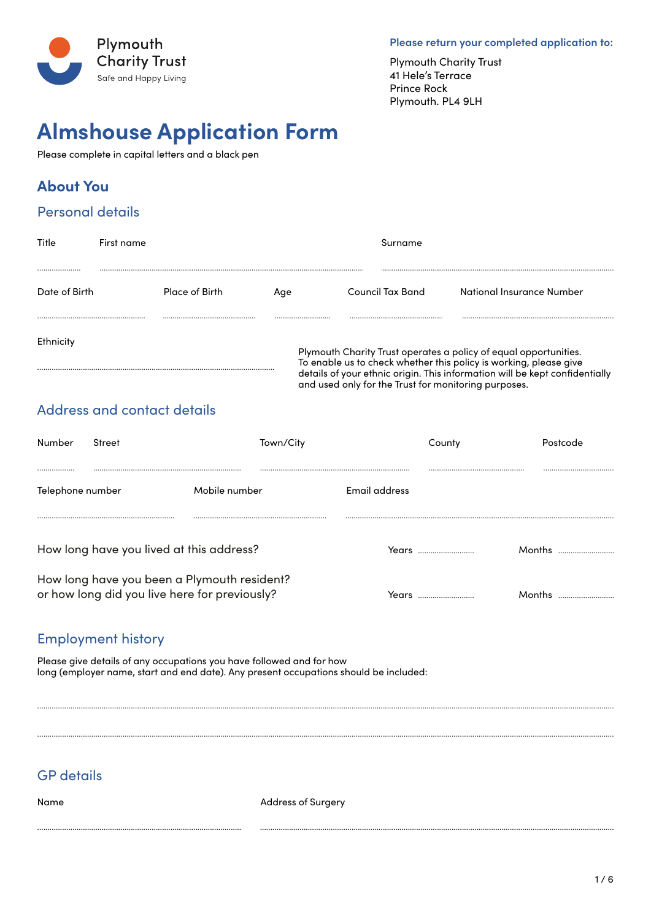

Please return your completed application to:

**Plymouth Charity Trust** 41 Hele's Terrace **Prince Rock** Plymouth. PL4 9LH

# **Almshouse Application Form**

Please complete in capital letters and a black pen

# **About You**

#### **Personal details**

| Title         | First name                                                                                                                                                                                                                                                                       |                       |     | Surname          |                            |
|---------------|----------------------------------------------------------------------------------------------------------------------------------------------------------------------------------------------------------------------------------------------------------------------------------|-----------------------|-----|------------------|----------------------------|
|               |                                                                                                                                                                                                                                                                                  |                       |     |                  |                            |
| Date of Birth |                                                                                                                                                                                                                                                                                  | <b>Place of Birth</b> | Aae | Council Tax Band | -National Insurance Number |
|               |                                                                                                                                                                                                                                                                                  |                       |     |                  |                            |
| Ethnicity     |                                                                                                                                                                                                                                                                                  |                       |     |                  |                            |
|               | Plymouth Charity Trust operates a policy of equal opportunities.<br>To enable us to check whether this policy is working, please give<br><br>details of your ethnic origin. This information will be kept confidentially<br>and used only for the Trust for monitoring purposes. |                       |     |                  |                            |

## Address and contact details

| Number           | Street                                                                                       | Town/City     |               | County |  |
|------------------|----------------------------------------------------------------------------------------------|---------------|---------------|--------|--|
|                  |                                                                                              |               |               |        |  |
| Telephone number |                                                                                              | Mobile number | Email address |        |  |
|                  |                                                                                              |               |               |        |  |
|                  | How long have you lived at this address?                                                     |               | Years         |        |  |
|                  | How long have you been a Plymouth resident?<br>or how long did you live here for previously? |               |               |        |  |

#### **Employment history**

Please give details of any occupations you have followed and for how long (employer name, start and end date). Any present occupations should be included:

### **GP** details

Name

**Address of Surgery**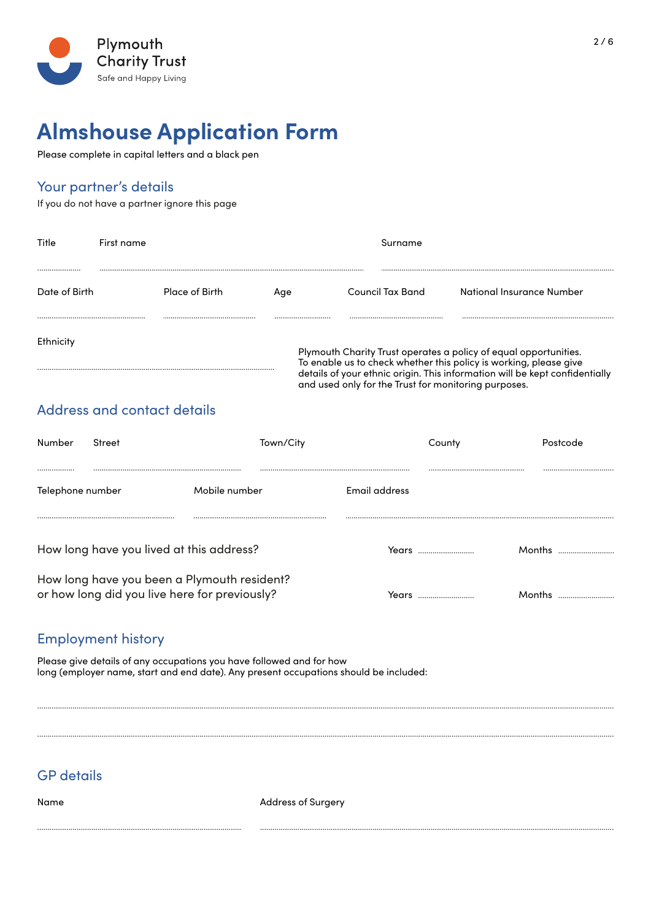

Please complete in capital letters and a black pen

#### Your partner's details

If you do not have a partner ignore this page

| Title             | First name                  | Surname        |     |                                                                                                                                                                                                                                                                                  |                           |  |
|-------------------|-----------------------------|----------------|-----|----------------------------------------------------------------------------------------------------------------------------------------------------------------------------------------------------------------------------------------------------------------------------------|---------------------------|--|
| <br>Date of Birth |                             | Place of Birth | Age | Council Tax Band                                                                                                                                                                                                                                                                 | National Insurance Number |  |
| Ethnicity         |                             |                |     | <br>Plymouth Charity Trust operates a policy of equal opportunities.<br>To enable us to check whether this policy is working, please give<br>details of your ethnic origin. This information will be kept confidentially<br>and used only for the Trust for monitoring purposes. |                           |  |
|                   | Address and contact details |                |     |                                                                                                                                                                                                                                                                                  |                           |  |

| Number           | Street                                                                                       | Town/City     |               | Countv |        |
|------------------|----------------------------------------------------------------------------------------------|---------------|---------------|--------|--------|
|                  |                                                                                              |               |               |        |        |
| Telephone number |                                                                                              | Mobile number | Email address |        |        |
|                  |                                                                                              |               |               |        |        |
|                  | How long have you lived at this address?                                                     |               | Years         |        | Months |
|                  | How long have you been a Plymouth resident?<br>or how long did you live here for previously? |               |               |        | Months |

#### **Employment history**

Please give details of any occupations you have followed and for how long (employer name, start and end date). Any present occupations should be included:

### **GP** details

Name

**Address of Surgery**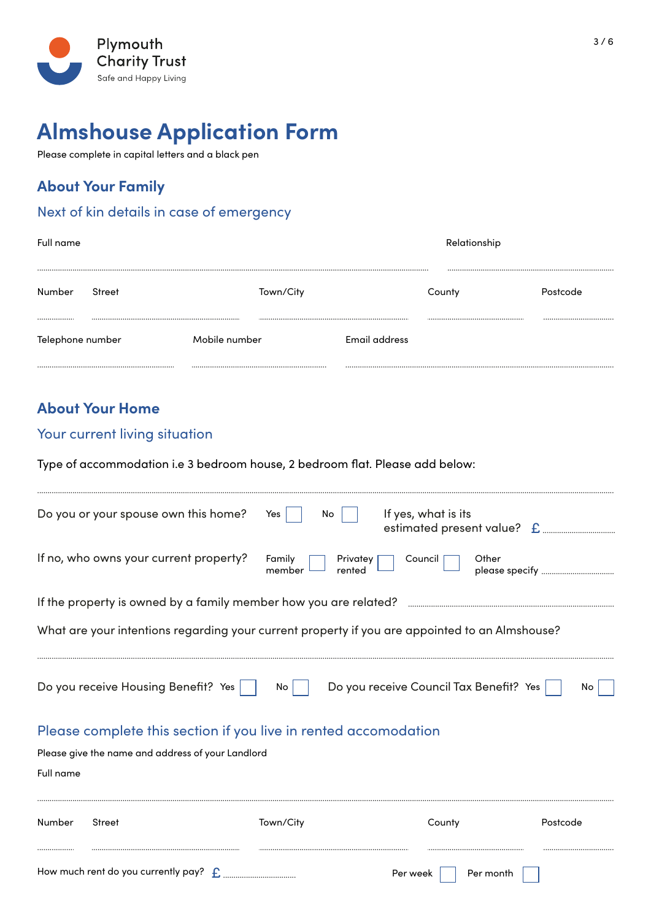

Please complete in capital letters and a black pen

## **About Your Family**

#### Next of kin details in case of emergency

| Full name            |        |               |               | Relationship |          |
|----------------------|--------|---------------|---------------|--------------|----------|
| Number               | Street | Town/City     |               | County       | Postcode |
| <br>Telephone number |        | Mobile number | Email address |              |          |
|                      |        |               |               |              |          |

# **About Your Home**

#### Your current living situation

Type of accommodation i.e 3 bedroom house, 2 bedroom flat. Please add below:

|                  | How much rent do you currently pay? $\int_{\Gamma}$                                            |                                        | Per week<br>Per month                             |                |
|------------------|------------------------------------------------------------------------------------------------|----------------------------------------|---------------------------------------------------|----------------|
| Number           | <b>Street</b>                                                                                  | Town/City                              | County                                            | Postcode       |
| <b>Full name</b> |                                                                                                |                                        |                                                   |                |
|                  | Please give the name and address of your Landlord                                              |                                        |                                                   |                |
|                  | Please complete this section if you live in rented accomodation                                |                                        |                                                   |                |
|                  | Do you receive Housing Benefit? Yes                                                            | No                                     | Do you receive Council Tax Benefit? Yes           | Nο             |
|                  | What are your intentions regarding your current property if you are appointed to an Almshouse? |                                        |                                                   |                |
|                  | If the property is owned by a family member how you are related?                               |                                        |                                                   |                |
|                  | If no, who owns your current property?                                                         | Family<br>Privatey<br>member<br>rented | Other<br>Council                                  | please specify |
|                  | Do you or your spouse own this home?                                                           | No<br>Yes                              | If yes, what is its<br>estimated present value? £ |                |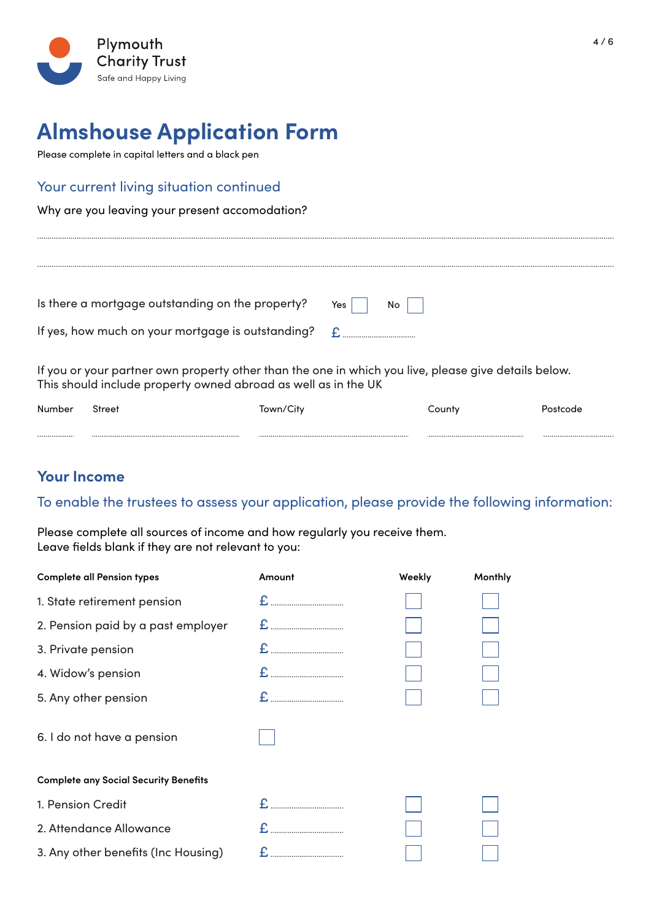

Please complete in capital letters and a black pen

#### Your current living situation continued

Why are you leaving your present accomodation?

| Is there a mortgage outstanding on the property?  | Yes<br>No |
|---------------------------------------------------|-----------|
| If yes, how much on your mortgage is outstanding? |           |

If you or your partner own property other than the one in which you live, please give details below. This should include property owned abroad as well as in the UK

| Number | Street | Town/City | County | Postcode |
|--------|--------|-----------|--------|----------|
|        |        |           |        |          |

### **Your Income**

#### To enable the trustees to assess your application, please provide the following information:

Please complete all sources of income and how regularly you receive them. Leave fields blank if they are not relevant to you:

| <b>Complete all Pension types</b>            | Amount | Weekly | Monthly |
|----------------------------------------------|--------|--------|---------|
| 1. State retirement pension                  |        |        |         |
| 2. Pension paid by a past employer           |        |        |         |
| 3. Private pension                           |        |        |         |
| 4. Widow's pension                           |        |        |         |
| 5. Any other pension                         |        |        |         |
| 6. I do not have a pension                   |        |        |         |
| <b>Complete any Social Security Benefits</b> |        |        |         |
| 1. Pension Credit                            |        |        |         |
| 2. Attendance Allowance                      |        |        |         |
| 3. Any other benefits (Inc Housing)          |        |        |         |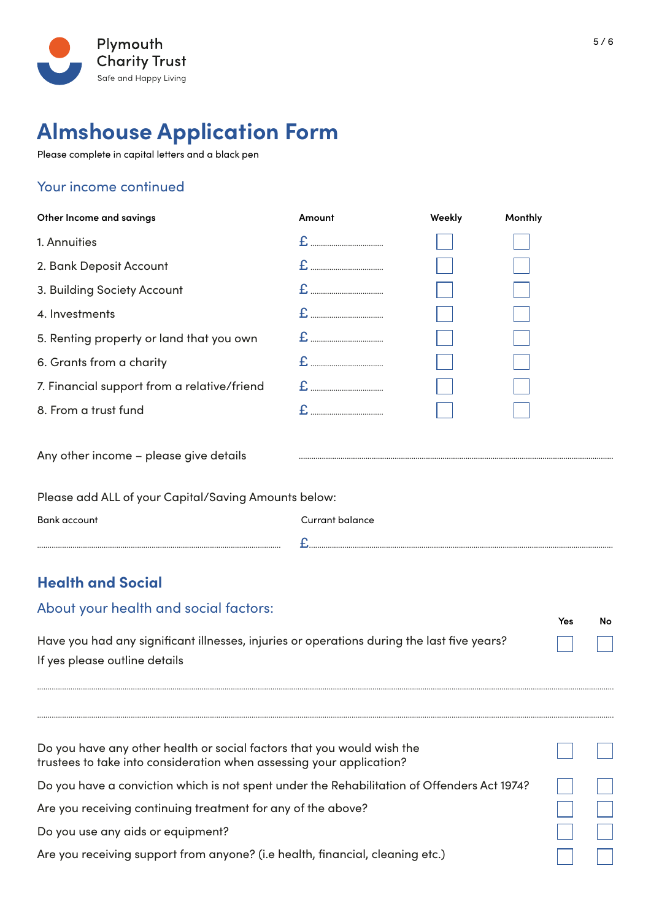

Please complete in capital letters and a black pen

## Your income continued

| Other Income and savings                                                                   | Amount          | Weekly | Monthly   |  |  |
|--------------------------------------------------------------------------------------------|-----------------|--------|-----------|--|--|
| 1. Annuities                                                                               |                 |        |           |  |  |
| 2. Bank Deposit Account                                                                    |                 |        |           |  |  |
| 3. Building Society Account                                                                |                 |        |           |  |  |
| 4. Investments                                                                             |                 |        |           |  |  |
| 5. Renting property or land that you own                                                   |                 |        |           |  |  |
| 6. Grants from a charity                                                                   |                 |        |           |  |  |
| 7. Financial support from a relative/friend                                                |                 |        |           |  |  |
| 8. From a trust fund                                                                       |                 |        |           |  |  |
| Any other income - please give details                                                     |                 |        |           |  |  |
| Please add ALL of your Capital/Saving Amounts below:                                       |                 |        |           |  |  |
| <b>Bank account</b>                                                                        | Currant balance |        |           |  |  |
|                                                                                            |                 |        |           |  |  |
| <b>Health and Social</b>                                                                   |                 |        |           |  |  |
| About your health and social factors:                                                      |                 |        | Yes<br>No |  |  |
| Have you had any significant illnesses, injuries or operations during the last five years? |                 |        |           |  |  |

Have you had any significant illnesses, injuries or operations during the last five years? If yes please outline details

| Do you have any other health or social factors that you would wish the<br>trustees to take into consideration when assessing your application? |  |
|------------------------------------------------------------------------------------------------------------------------------------------------|--|
| Do you have a conviction which is not spent under the Rehabilitation of Offenders Act 1974?                                                    |  |
| Are you receiving continuing treatment for any of the above?                                                                                   |  |
| Do you use any aids or equipment?                                                                                                              |  |
| Are you receiving support from anyone? (i.e health, financial, cleaning etc.)                                                                  |  |

.....................................................................................................................................................................................................................................................................................